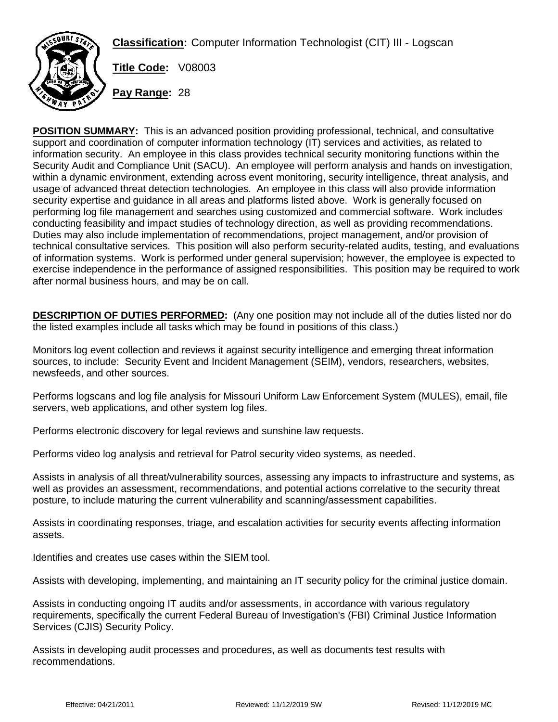**Classification:** Computer Information Technologist (CIT) III - Logscan



**Title Code:** V08003

**Pay Range:** 28

**POSITION SUMMARY:** This is an advanced position providing professional, technical, and consultative support and coordination of computer information technology (IT) services and activities, as related to information security. An employee in this class provides technical security monitoring functions within the Security Audit and Compliance Unit (SACU). An employee will perform analysis and hands on investigation, within a dynamic environment, extending across event monitoring, security intelligence, threat analysis, and usage of advanced threat detection technologies. An employee in this class will also provide information security expertise and guidance in all areas and platforms listed above. Work is generally focused on performing log file management and searches using customized and commercial software. Work includes conducting feasibility and impact studies of technology direction, as well as providing recommendations. Duties may also include implementation of recommendations, project management, and/or provision of technical consultative services. This position will also perform security-related audits, testing, and evaluations of information systems. Work is performed under general supervision; however, the employee is expected to exercise independence in the performance of assigned responsibilities. This position may be required to work after normal business hours, and may be on call.

**DESCRIPTION OF DUTIES PERFORMED:** (Any one position may not include all of the duties listed nor do the listed examples include all tasks which may be found in positions of this class.)

Monitors log event collection and reviews it against security intelligence and emerging threat information sources, to include: Security Event and Incident Management (SEIM), vendors, researchers, websites, newsfeeds, and other sources.

Performs logscans and log file analysis for Missouri Uniform Law Enforcement System (MULES), email, file servers, web applications, and other system log files.

Performs electronic discovery for legal reviews and sunshine law requests.

Performs video log analysis and retrieval for Patrol security video systems, as needed.

Assists in analysis of all threat/vulnerability sources, assessing any impacts to infrastructure and systems, as well as provides an assessment, recommendations, and potential actions correlative to the security threat posture, to include maturing the current vulnerability and scanning/assessment capabilities.

Assists in coordinating responses, triage, and escalation activities for security events affecting information assets.

Identifies and creates use cases within the SIEM tool.

Assists with developing, implementing, and maintaining an IT security policy for the criminal justice domain.

Assists in conducting ongoing IT audits and/or assessments, in accordance with various regulatory requirements, specifically the current Federal Bureau of Investigation's (FBI) Criminal Justice Information Services (CJIS) Security Policy.

Assists in developing audit processes and procedures, as well as documents test results with recommendations.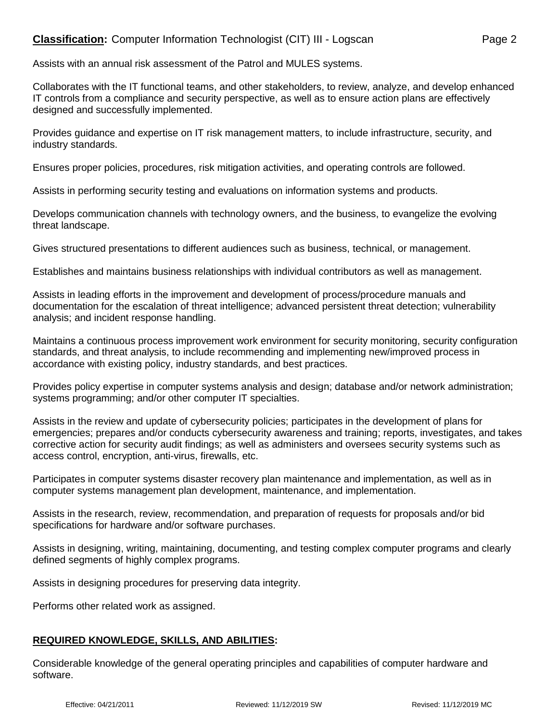## **Classification:** Computer Information Technologist (CIT) III - Logscan Page 2

Assists with an annual risk assessment of the Patrol and MULES systems.

Collaborates with the IT functional teams, and other stakeholders, to review, analyze, and develop enhanced IT controls from a compliance and security perspective, as well as to ensure action plans are effectively designed and successfully implemented.

Provides guidance and expertise on IT risk management matters, to include infrastructure, security, and industry standards.

Ensures proper policies, procedures, risk mitigation activities, and operating controls are followed.

Assists in performing security testing and evaluations on information systems and products.

Develops communication channels with technology owners, and the business, to evangelize the evolving threat landscape.

Gives structured presentations to different audiences such as business, technical, or management.

Establishes and maintains business relationships with individual contributors as well as management.

Assists in leading efforts in the improvement and development of process/procedure manuals and documentation for the escalation of threat intelligence; advanced persistent threat detection; vulnerability analysis; and incident response handling.

Maintains a continuous process improvement work environment for security monitoring, security configuration standards, and threat analysis, to include recommending and implementing new/improved process in accordance with existing policy, industry standards, and best practices.

Provides policy expertise in computer systems analysis and design; database and/or network administration; systems programming; and/or other computer IT specialties.

Assists in the review and update of cybersecurity policies; participates in the development of plans for emergencies; prepares and/or conducts cybersecurity awareness and training; reports, investigates, and takes corrective action for security audit findings; as well as administers and oversees security systems such as access control, encryption, anti-virus, firewalls, etc.

Participates in computer systems disaster recovery plan maintenance and implementation, as well as in computer systems management plan development, maintenance, and implementation.

Assists in the research, review, recommendation, and preparation of requests for proposals and/or bid specifications for hardware and/or software purchases.

Assists in designing, writing, maintaining, documenting, and testing complex computer programs and clearly defined segments of highly complex programs.

Assists in designing procedures for preserving data integrity.

Performs other related work as assigned.

## **REQUIRED KNOWLEDGE, SKILLS, AND ABILITIES:**

Considerable knowledge of the general operating principles and capabilities of computer hardware and software.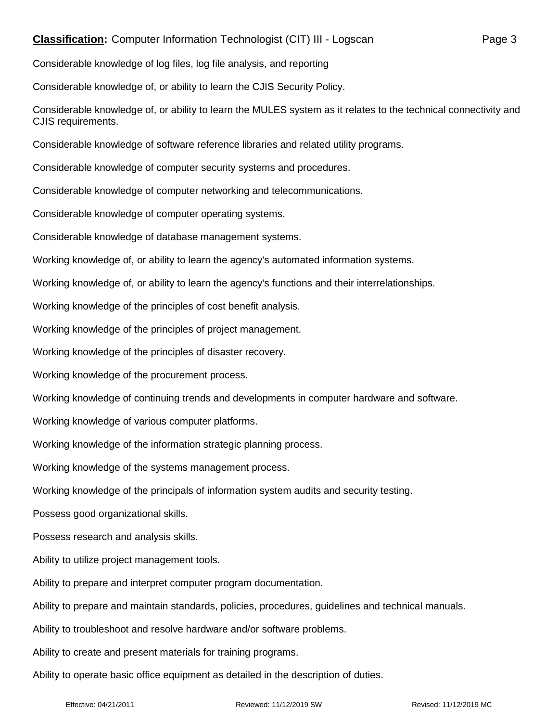## **Classification:** Computer Information Technologist (CIT) III - Logscan Page 3

Considerable knowledge of log files, log file analysis, and reporting

Considerable knowledge of, or ability to learn the CJIS Security Policy.

Considerable knowledge of, or ability to learn the MULES system as it relates to the technical connectivity and CJIS requirements.

Considerable knowledge of software reference libraries and related utility programs.

Considerable knowledge of computer security systems and procedures.

Considerable knowledge of computer networking and telecommunications.

Considerable knowledge of computer operating systems.

Considerable knowledge of database management systems.

Working knowledge of, or ability to learn the agency's automated information systems.

Working knowledge of, or ability to learn the agency's functions and their interrelationships.

Working knowledge of the principles of cost benefit analysis.

Working knowledge of the principles of project management.

Working knowledge of the principles of disaster recovery.

Working knowledge of the procurement process.

Working knowledge of continuing trends and developments in computer hardware and software.

Working knowledge of various computer platforms.

Working knowledge of the information strategic planning process.

Working knowledge of the systems management process.

Working knowledge of the principals of information system audits and security testing.

Possess good organizational skills.

Possess research and analysis skills.

Ability to utilize project management tools.

Ability to prepare and interpret computer program documentation.

Ability to prepare and maintain standards, policies, procedures, guidelines and technical manuals.

Ability to troubleshoot and resolve hardware and/or software problems.

Ability to create and present materials for training programs.

Ability to operate basic office equipment as detailed in the description of duties.